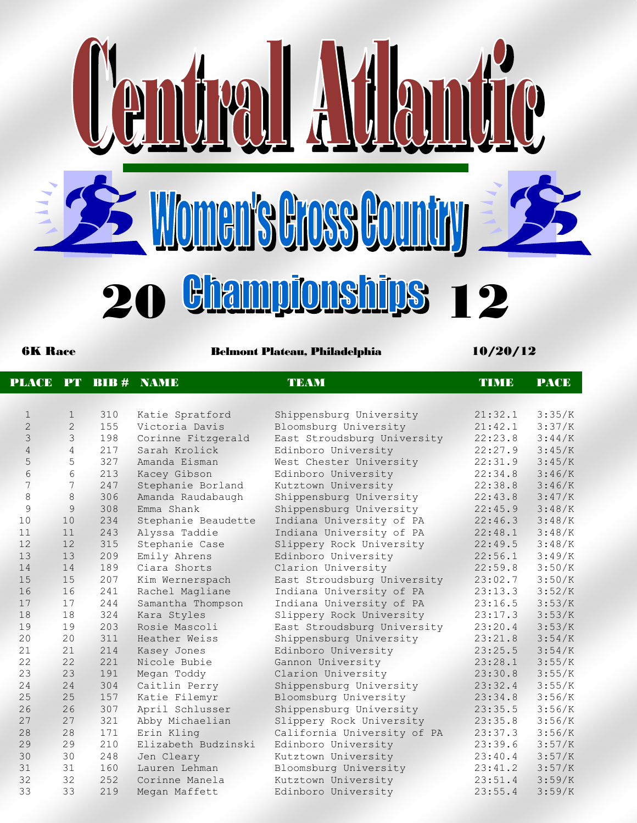

6K Race Belmont Plateau, Philadelphia 10/20/12

| <b>PLACE</b>   |                | $PT$ BIB $#$ | <b>NAME</b>         | <b>TEAM</b>                 | TIMB    | <b>PACE</b> |
|----------------|----------------|--------------|---------------------|-----------------------------|---------|-------------|
|                |                |              |                     |                             |         |             |
| $\mathbf{1}$   | $\mathbf{1}$   | 310          | Katie Spratford     | Shippensburg University     | 21:32.1 | 3:35/K      |
| $\overline{2}$ | 2              | 155          | Victoria Davis      | Bloomsburg University       | 21:42.1 | 3:37/K      |
| 3              | 3              | 198          | Corinne Fitzgerald  | East Stroudsburg University | 22:23.8 | 3:44/K      |
| $\sqrt{4}$     | $\overline{4}$ | 217          | Sarah Krolick       | Edinboro University         | 22:27.9 | 3:45/K      |
| 5              | 5              | 327          | Amanda Eisman       | West Chester University     | 22:31.9 | 3:45/K      |
| 6              | 6              | 213          | Kacey Gibson        | Edinboro University         | 22:34.8 | 3:46/K      |
| 7              | $\overline{7}$ | 247          | Stephanie Borland   | Kutztown University         | 22:38.8 | 3:46/K      |
| 8              | $\,8\,$        | 306          | Amanda Raudabaugh   | Shippensburg University     | 22:43.8 | 3:47/K      |
| 9              | $\overline{9}$ | 308          | Emma Shank          | Shippensburg University     | 22:45.9 | 3:48/K      |
| 10             | 10             | 234          | Stephanie Beaudette | Indiana University of PA    | 22:46.3 | 3:48/K      |
| 11             | 11             | 243          | Alyssa Taddie       | Indiana University of PA    | 22:48.1 | 3:48/K      |
| 12             | 12             | 315          | Stephanie Case      | Slippery Rock University    | 22:49.5 | 3:48/K      |
| 13             | 13             | 209          | Emily Ahrens        | Edinboro University         | 22:56.1 | 3:49/K      |
| 14             | 14             | 189          | Ciara Shorts        | Clarion University          | 22:59.8 | 3:50/K      |
| 15             | 15             | 207          | Kim Wernerspach     | East Stroudsburg University | 23:02.7 | 3:50/K      |
| 16             | 16             | 241          | Rachel Magliane     | Indiana University of PA    | 23:13.3 | 3:52/K      |
| 17             | 17             | 244          | Samantha Thompson   | Indiana University of PA    | 23:16.5 | 3:53/K      |
| 18             | 18             | 324          | Kara Styles         | Slippery Rock University    | 23:17.3 | 3:53/K      |
| 19             | 19             | 203          | Rosie Mascoli       | East Stroudsburg University | 23:20.4 | 3:53/K      |
| 20             | 20             | 311          | Heather Weiss       | Shippensburg University     | 23:21.8 | 3:54/K      |
| 21             | 21             | 214          | Kasey Jones         | Edinboro University         | 23:25.5 | 3:54/K      |
| 22             | 22             | 221          | Nicole Bubie        | Gannon University           | 23:28.1 | 3:55/K      |
| 23             | 23             | 191          | Megan Toddy         | Clarion University          | 23:30.8 | 3:55/K      |
| 24             | 24             | 304          | Caitlin Perry       | Shippensburg University     | 23:32.4 | 3:55/K      |
| 25             | 25             | 157          | Katie Filemyr       | Bloomsburg University       | 23:34.8 | 3:56/K      |
| 26             | 26             | 307          | April Schlusser     | Shippensburg University     | 23:35.5 | 3:56/K      |
| 27             | 27             | 321          | Abby Michaelian     | Slippery Rock University    | 23:35.8 | 3:56/K      |
| 28             | 28             | 171          | Erin Kling          | California University of PA | 23:37.3 | 3:56/K      |
| 29             | 29             | 210          | Elizabeth Budzinski | Edinboro University         | 23:39.6 | 3:57/K      |
| 30             | 30             | 248          | Jen Cleary          | Kutztown University         | 23:40.4 | 3:57/K      |
| 31             | 31             | 160          | Lauren Lehman       | Bloomsburg University       | 23:41.2 | 3:57/K      |
| 32             | 32             | 252          | Corinne Manela      | Kutztown University         | 23:51.4 | 3:59/K      |
| 33             | 33             | 219          | Megan Maffett       | Edinboro University         | 23:55.4 | 3:59/K      |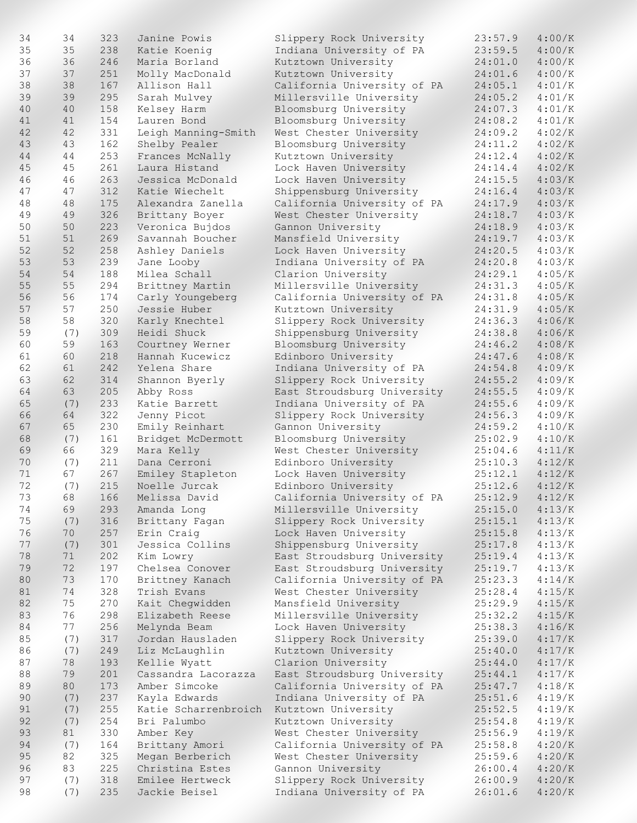| 34 | 34  | 323 | Janine Powis                             | Slippery Rock University    | 23:57.9            | 4:00/K |
|----|-----|-----|------------------------------------------|-----------------------------|--------------------|--------|
| 35 | 35  | 238 | Katie Koenig                             | Indiana University of PA    | 23:59.5            | 4:00/K |
| 36 | 36  | 246 | Maria Borland                            | Kutztown University         | 24:01.0            | 4:00/K |
| 37 | 37  | 251 | Molly MacDonald                          | Kutztown University         | 24:01.6            | 4:00/K |
|    |     |     |                                          |                             |                    |        |
| 38 | 38  | 167 | Allison Hall                             | California University of PA | 24:05.1            | 4:01/K |
| 39 | 39  | 295 | Sarah Mulvey                             | Millersville University     | 24:05.2            | 4:01/K |
| 40 | 40  | 158 | Kelsey Harm                              | Bloomsburg University       | 24:07.3            | 4:01/K |
| 41 | 41  | 154 | Lauren Bond                              | Bloomsburg University       | 24:08.2            | 4:01/K |
|    |     |     |                                          |                             |                    |        |
| 42 | 42  | 331 | Leigh Manning-Smith                      | West Chester University     | 24:09.2            | 4:02/K |
| 43 | 43  | 162 | Shelby Pealer                            | Bloomsburg University       | 24:11.2            | 4:02/K |
| 44 | 44  | 253 | Frances McNally                          | Kutztown University         | 24:12.4            | 4:02/K |
| 45 | 45  | 261 | Laura Histand                            | Lock Haven University       | 24:14.4            | 4:02/K |
| 46 | 46  | 263 | Jessica McDonald                         | Lock Haven University       | 24:15.5            | 4:03/K |
|    |     |     |                                          |                             |                    |        |
| 47 | 47  | 312 | Katie Wiechelt                           | Shippensburg University     | 24:16.4            | 4:03/K |
| 48 | 48  | 175 | Alexandra Zanella                        | California University of PA | 24:17.9            | 4:03/K |
| 49 | 49  | 326 | Brittany Boyer                           | West Chester University     | 24:18.7            | 4:03/K |
| 50 | 50  | 223 | Veronica Bujdos                          | Gannon University           | 24:18.9            | 4:03/K |
|    |     |     |                                          |                             |                    |        |
| 51 | 51  | 269 | Savannah Boucher                         | Mansfield University        | 24:19.7            | 4:03/K |
| 52 | 52  | 258 | Ashley Daniels                           | Lock Haven University       | 24:20.5            | 4:03/K |
| 53 | 53  | 239 | Jane Looby                               | Indiana University of PA    | 24:20.8            | 4:03/K |
| 54 | 54  | 188 | Milea Schall                             | Clarion University          | 24:29.1            | 4:05/K |
|    |     |     |                                          |                             |                    |        |
| 55 | 55  | 294 | Brittney Martin                          | Millersville University     | 24:31.3            | 4:05/K |
| 56 | 56  | 174 | Carly Youngeberg                         | California University of PA | 24:31.8            | 4:05/K |
| 57 | 57  | 250 | Jessie Huber                             | Kutztown University         | 24:31.9            | 4:05/K |
| 58 | 58  | 320 | Karly Knechtel                           | Slippery Rock University    | 24:36.3            | 4:06/K |
| 59 |     | 309 | Heidi Shuck                              |                             |                    | 4:06/K |
|    | (7) |     |                                          | Shippensburg University     | 24:38.8            |        |
| 60 | 59  | 163 | Courtney Werner                          | Bloomsburg University       | 24:46.2            | 4:08/K |
| 61 | 60  | 218 | Hannah Kucewicz                          | Edinboro University         | 24:47.6            | 4:08/K |
| 62 | 61  | 242 | Yelena Share                             | Indiana University of PA    | 24:54.8            | 4:09/K |
| 63 | 62  | 314 | Shannon Byerly                           | Slippery Rock University    | 24:55.2            | 4:09/K |
|    |     |     |                                          |                             |                    |        |
| 64 | 63  | 205 | Abby Ross                                | East Stroudsburg University | 24:55.5            | 4:09/K |
| 65 | (7) | 233 | Katie Barrett                            | Indiana University of PA    | 24:55.6            | 4:09/K |
| 66 | 64  | 322 | Jenny Picot                              | Slippery Rock University    | 24:56.3            | 4:09/K |
| 67 | 65  | 230 | Emily Reinhart                           | Gannon University           | 24:59.2            | 4:10/K |
|    |     |     |                                          |                             |                    |        |
| 68 | (7) | 161 | Bridget McDermott                        | Bloomsburg University       | 25:02.9            | 4:10/K |
| 69 | 66  | 329 | Mara Kelly                               | West Chester University     | 25:04.6            | 4:11/K |
| 70 | (7) | 211 | Dana Cerroni                             | Edinboro University         | 25:10.3            | 4:12/K |
| 71 | 67  | 267 | Emiley Stapleton                         | Lock Haven University       | 25:12.1            | 4:12/K |
| 72 | (7) | 215 | Noelle Jurcak                            | Edinboro University         | 25:12.6            | 4:12/K |
|    |     |     |                                          |                             |                    |        |
| 73 | 68  | 166 | Melissa David                            | California University of PA | $25:12.9$ $4:12/K$ |        |
| 74 | 69  | 293 | Amanda Long                              | Millersville University     | 25:15.0            | 4:13/K |
| 75 | (7) | 316 | Brittany Fagan                           | Slippery Rock University    | 25:15.1            | 4:13/K |
| 76 | 70  | 257 | Erin Craig                               | Lock Haven University       | 25:15.8            | 4:13/K |
|    |     |     |                                          |                             |                    |        |
| 77 | (7) | 301 | Jessica Collins                          | Shippensburg University     | 25:17.8            | 4:13/K |
| 78 | 71  | 202 | Kim Lowry                                | East Stroudsburg University | 25:19.4            | 4:13/K |
| 79 | 72  | 197 | Chelsea Conover                          | East Stroudsburg University | 25:19.7            | 4:13/K |
| 80 | 73  | 170 | Brittney Kanach                          | California University of PA | 25:23.3            | 4:14/K |
| 81 | 74  | 328 | Trish Evans                              | West Chester University     | 25:28.4            | 4:15/K |
|    |     |     |                                          |                             |                    |        |
| 82 | 75  | 270 | Kait Cheqwidden                          | Mansfield University        | 25:29.9            | 4:15/K |
| 83 | 76  | 298 | Elizabeth Reese                          | Millersville University     | 25:32.2            | 4:15/K |
| 84 | 77  | 256 | Melynda Beam                             | Lock Haven University       | 25:38.3            | 4:16/K |
| 85 | (7) | 317 | Jordan Hausladen                         | Slippery Rock University    | 25:39.0            | 4:17/K |
|    |     |     |                                          |                             |                    |        |
| 86 | (7) | 249 | Liz McLaughlin                           | Kutztown University         | 25:40.0            | 4:17/K |
| 87 | 78  | 193 | Kellie Wyatt                             | Clarion University          | 25:44.0            | 4:17/K |
| 88 | 79  | 201 | Cassandra Lacorazza                      | East Stroudsburg University | 25:44.1            | 4:17/K |
| 89 | 80  | 173 | Amber Simcoke                            | California University of PA | 25:47.7            | 4:18/K |
| 90 | (7) | 237 | Kayla Edwards                            | Indiana University of PA    | 25:51.6            | 4:19/K |
|    |     |     |                                          |                             |                    |        |
| 91 | (7) | 255 | Katie Scharrenbroich Kutztown University |                             | 25:52.5            | 4:19/K |
| 92 | (7) | 254 | Bri Palumbo                              | Kutztown University         | 25:54.8            | 4:19/K |
| 93 | 81  | 330 | Amber Key                                | West Chester University     | 25:56.9            | 4:19/K |
| 94 | (7) | 164 | Brittany Amori                           | California University of PA | 25:58.8            | 4:20/K |
|    |     |     |                                          |                             |                    |        |
| 95 | 82  | 325 | Megan Berberich                          | West Chester University     | 25:59.6            | 4:20/K |
| 96 | 83  | 225 | Christina Estes                          | Gannon University           | 26:00.4            | 4:20/K |
| 97 | (7) | 318 | Emilee Hertweck                          | Slippery Rock University    | 26:00.9            | 4:20/K |
| 98 | (7) | 235 | Jackie Beisel                            | Indiana University of PA    | 26:01.6            | 4:20/K |
|    |     |     |                                          |                             |                    |        |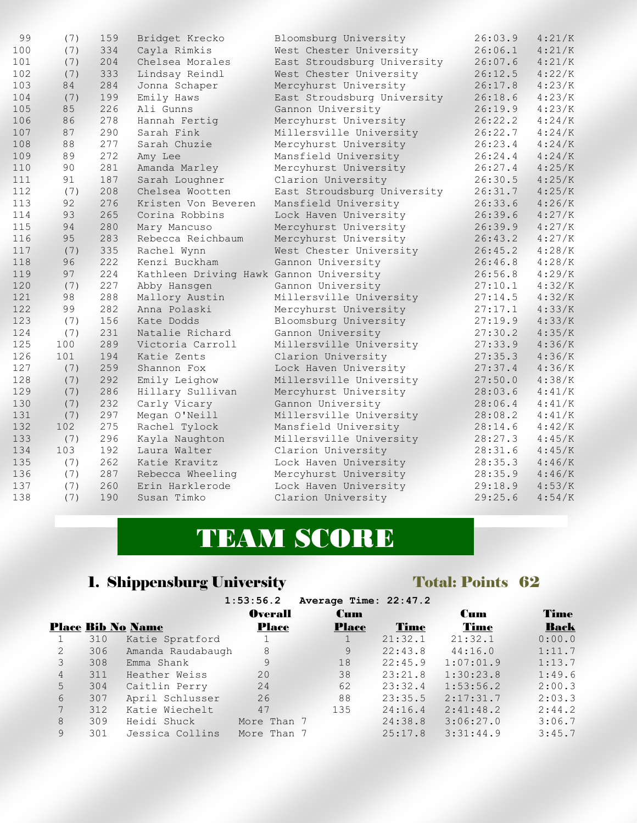| 99  | (7) | 159 | Bridget Krecko                          | Bloomsburg University       | 26:03.9 | 4:21/K |
|-----|-----|-----|-----------------------------------------|-----------------------------|---------|--------|
| 100 | (7) | 334 | Cayla Rimkis                            | West Chester University     | 26:06.1 | 4:21/K |
| 101 | (7) | 204 | Chelsea Morales                         | East Stroudsburg University | 26:07.6 | 4:21/K |
| 102 | (7) | 333 | Lindsay Reindl                          | West Chester University     | 26:12.5 | 4:22/K |
| 103 | 84  | 284 | Jonna Schaper                           | Mercyhurst University       | 26:17.8 | 4:23/K |
| 104 | (7) | 199 | Emily Haws                              | East Stroudsburg University | 26:18.6 | 4:23/K |
| 105 | 85  | 226 | Ali Gunns                               | Gannon University           | 26:19.9 | 4:23/K |
| 106 | 86  | 278 | Hannah Fertig                           | Mercyhurst University       | 26:22.2 | 4:24/K |
| 107 | 87  | 290 | Sarah Fink                              | Millersville University     | 26:22.7 | 4:24/K |
| 108 | 88  | 277 | Sarah Chuzie                            | Mercyhurst University       | 26:23.4 | 4:24/K |
| 109 | 89  | 272 | Amy Lee                                 | Mansfield University        | 26:24.4 | 4:24/K |
| 110 | 90  | 281 | Amanda Marley                           | Mercyhurst University       | 26:27.4 | 4:25/K |
| 111 | 91  | 187 | Sarah Loughner                          | Clarion University          | 26:30.5 | 4:25/K |
| 112 | (7) | 208 | Chelsea Wootten                         | East Stroudsburg University | 26:31.7 | 4:25/K |
| 113 | 92  | 276 | Kristen Von Beveren                     | Mansfield University        | 26:33.6 | 4:26/K |
| 114 | 93  | 265 | Corina Robbins                          | Lock Haven University       | 26:39.6 | 4:27/K |
| 115 | 94  | 280 | Mary Mancuso                            | Mercyhurst University       | 26:39.9 | 4:27/K |
| 116 | 95  | 283 | Rebecca Reichbaum                       | Mercyhurst University       | 26:43.2 | 4:27/K |
| 117 | (7) | 335 | Rachel Wynn                             | West Chester University     | 26:45.2 | 4:28/K |
| 118 | 96  | 222 | Kenzi Buckham                           | Gannon University           | 26:46.8 | 4:28/K |
| 119 | 97  | 224 | Kathleen Driving Hawk Gannon University |                             | 26:56.8 | 4:29/K |
| 120 | (7) | 227 | Abby Hansgen                            | Gannon University           | 27:10.1 | 4:32/K |
| 121 | 98  | 288 | Mallory Austin                          | Millersville University     | 27:14.5 | 4:32/K |
| 122 | 99  | 282 | Anna Polaski                            | Mercyhurst University       | 27:17.1 | 4:33/K |
| 123 | (7) | 156 | Kate Dodds                              | Bloomsburg University       | 27:19.9 | 4:33/K |
| 124 | (7) | 231 | Natalie Richard                         | Gannon University           | 27:30.2 | 4:35/K |
| 125 | 100 | 289 | Victoria Carroll                        | Millersville University     | 27:33.9 | 4:36/K |
| 126 | 101 | 194 | Katie Zents                             | Clarion University          | 27:35.3 | 4:36/K |
| 127 | (7) | 259 | Shannon Fox                             | Lock Haven University       | 27:37.4 | 4:36/K |
| 128 | (7) | 292 | Emily Leighow                           | Millersville University     | 27:50.0 | 4:38/K |
| 129 | (7) | 286 | Hillary Sullivan                        | Mercyhurst University       | 28:03.6 | 4:41/K |
| 130 | (7) | 232 | Carly Vicary                            | Gannon University           | 28:06.4 | 4:41/K |
| 131 | (7) | 297 | Megan O'Neill                           | Millersville University     | 28:08.2 | 4:41/K |
| 132 | 102 | 275 | Rachel Tylock                           | Mansfield University        | 28:14.6 | 4:42/K |
| 133 | (7) | 296 | Kayla Naughton                          | Millersville University     | 28:27.3 | 4:45/K |
| 134 | 103 | 192 | Laura Walter                            | Clarion University          | 28:31.6 | 4:45/K |
| 135 | (7) | 262 | Katie Kravitz                           | Lock Haven University       | 28:35.3 | 4:46/K |
| 136 | (7) | 287 | Rebecca Wheeling                        | Mercyhurst University       | 28:35.9 | 4:46/K |
| 137 | (7) | 260 | Erin Harklerode                         | Lock Haven University       | 29:18.9 | 4:53/K |
| 138 | (7) | 190 | Susan Timko                             | Clarion University          | 29:25.6 | 4:54/K |

# TEAM SCORE

# 1. Shippensburg University Total: Points 62

|                |     |                          | 1:53:56.2      | Average Time: 22:47.2 |             |            |             |
|----------------|-----|--------------------------|----------------|-----------------------|-------------|------------|-------------|
|                |     |                          | <b>Overall</b> | <b>Cum</b>            |             | <b>Cum</b> | Time        |
|                |     | <b>Place Bib No Name</b> | <b>Place</b>   | <b>Place</b>          | <b>Time</b> | Time       | <b>Back</b> |
|                | 310 | Katie Spratford          |                |                       | 21:32.1     | 21:32.1    | 0:00.0      |
| $\overline{2}$ | 306 | Amanda Raudabaugh        | 8              | 9                     | 22:43.8     | 44:16.0    | 1:11.7      |
| 3              | 308 | Emma Shank               | 9              | 18                    | 22:45.9     | 1:07:01.9  | 1:13.7      |
| $\overline{4}$ | 311 | Heather Weiss            | 20             | 38                    | 23:21.8     | 1:30:23.8  | 1:49.6      |
| 5              | 304 | Caitlin Perry            | 24             | 62                    | 23:32.4     | 1:53:56.2  | 2:00.3      |
| 6              | 307 | April Schlusser          | 26             | 88                    | 23:35.5     | 2:17:31.7  | 2:03.3      |
| $7^{\circ}$    | 312 | Katie Wiechelt           | 47             | 135                   | 24:16.4     | 2:41:48.2  | 2:44.2      |
| 8              | 309 | Heidi Shuck              | More Than 7    |                       | 24:38.8     | 3:06:27.0  | 3:06.7      |
| 9              | 301 | Jessica Collins          | More Than 7    |                       | 25:17.8     | 3:31:44.9  | 3:45.7      |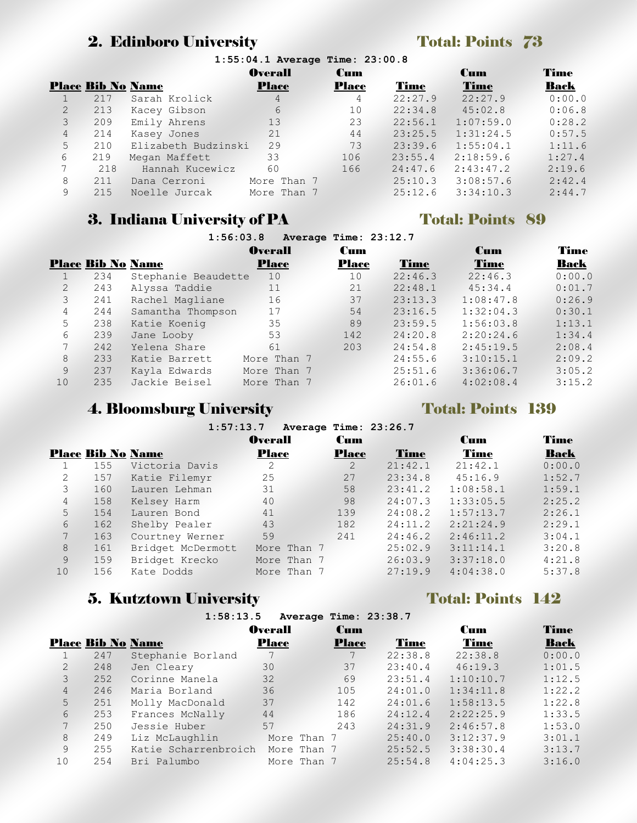# 2. Edinboro University Total: Points 73

|                |                          |                     | 1:55:04.1 Average Time: 23:00.8 |              |         |             |        |
|----------------|--------------------------|---------------------|---------------------------------|--------------|---------|-------------|--------|
|                |                          |                     | <b>Overall</b>                  | <b>Cum</b>   |         | <b>Cum</b>  | Time   |
|                | <b>Place Bib No Name</b> |                     | <b>Place</b>                    | <b>Place</b> | Time    | <b>Time</b> | Back   |
|                | 217                      | Sarah Krolick       | $\overline{4}$                  | 4            | 22:27.9 | 22:27.9     | 0:00.0 |
| $\overline{2}$ | 213                      | Kacey Gibson        | 6                               | 10           | 22:34.8 | 45:02.8     | 0:06.8 |
| 3              | 209                      | Emily Ahrens        | 13                              | 23           | 22:56.1 | 1:07:59.0   | 0:28.2 |
| $\overline{4}$ | 214                      | Kasey Jones         | 21                              | 44           | 23:25.5 | 1:31:24.5   | 0:57.5 |
| 5              | 210                      | Elizabeth Budzinski | 29                              | 73           | 23:39.6 | 1:55:04.1   | 1:11.6 |
| 6              | 219                      | Megan Maffett       | 33                              | 106          | 23:55.4 | 2:18:59.6   | 1:27.4 |
|                | 218                      | Hannah Kucewicz     | 60                              | 166          | 24:47.6 | 2:43:47.2   | 2:19.6 |
| 8              | 211                      | Dana Cerroni        | More Than 7                     |              | 25:10.3 | 3:08:57.6   | 2:42.4 |
| 9              | 215                      | Noelle Jurcak       | More Than 7                     |              | 25:12.6 | 3:34:10.3   | 2:44.7 |
|                |                          |                     |                                 |              |         |             |        |

## 3. Indiana University of PA Total: Points 89 **1:56:03.8 Average Time: 23:12.7**

|                |                          | 1:30:03.0           |                | Average Time: 23:12.7 |         |           |        |
|----------------|--------------------------|---------------------|----------------|-----------------------|---------|-----------|--------|
|                |                          |                     | <b>Overall</b> | <b>Cum</b>            |         | Cum       | Time   |
|                | <b>Place Bib No Name</b> |                     | <b>Place</b>   | <b>Place</b>          | Time    | Time      | Back   |
|                | 234                      | Stephanie Beaudette | 10             | 10                    | 22:46.3 | 22:46.3   | 0:00.0 |
| $\overline{2}$ | 243                      | Alyssa Taddie       | 11             | 21                    | 22:48.1 | 45:34.4   | 0:01.7 |
| 3              | 241                      | Rachel Magliane     | 16             | 37                    | 23:13.3 | 1:08:47.8 | 0:26.9 |
| 4              | 244                      | Samantha Thompson   | 17             | 54                    | 23:16.5 | 1:32:04.3 | 0:30.1 |
| 5              | 238                      | Katie Koenig        | 35             | 89                    | 23:59.5 | 1:56:03.8 | 1:13.1 |
| 6              | 239                      | Jane Looby          | 53             | 142                   | 24:20.8 | 2:20:24.6 | 1:34.4 |
| 7              | 242                      | Yelena Share        | 61             | 203                   | 24:54.8 | 2:45:19.5 | 2:08.4 |
| 8              | 233                      | Katie Barrett       | More Than 7    |                       | 24:55.6 | 3:10:15.1 | 2:09.2 |
| 9              | 237                      | Kayla Edwards       | More Than 7    |                       | 25:51.6 | 3:36:06.7 | 3:05.2 |
| 10             | 235                      | Jackie Beisel       | More Than 7    |                       | 26:01.6 | 4:02:08.4 | 3:15.2 |
|                |                          |                     |                |                       |         |           |        |

# **4. Bloomsburg University Total: Points 139**

|                |                          | 1:37:13.7         |                | Average Time: 23:20.7 |         |            |             |
|----------------|--------------------------|-------------------|----------------|-----------------------|---------|------------|-------------|
|                |                          |                   | <b>Overall</b> | <b>Cum</b>            |         | <b>Cum</b> | Time        |
|                | <b>Place Bib No Name</b> |                   | <b>Place</b>   | <b>Place</b>          | Time    | Time       | <b>Back</b> |
|                | 155                      | Victoria Davis    | 2              | 2                     | 21:42.1 | 21:42.1    | 0:00.0      |
| 2              | 157                      | Katie Filemyr     | 25             | 27                    | 23:34.8 | 45:16.9    | 1:52.7      |
| 3              | 160                      | Lauren Lehman     | 31             | 58                    | 23:41.2 | 1:08:58.1  | 1:59.1      |
| $\overline{4}$ | 158                      | Kelsey Harm       | 40             | 98                    | 24:07.3 | 1:33:05.5  | 2:25.2      |
| 5              | 154                      | Lauren Bond       | 41             | 139                   | 24:08.2 | 1:57:13.7  | 2:26.1      |
| 6              | 162                      | Shelby Pealer     | 43             | 182                   | 24:11.2 | 2:21:24.9  | 2:29.1      |
|                | 163                      | Courtney Werner   | 59             | 241                   | 24:46.2 | 2:46:11.2  | 3:04.1      |
| 8              | 161                      | Bridget McDermott | More Than 7    |                       | 25:02.9 | 3:11:14.1  | 3:20.8      |
| 9              | 159                      | Bridget Krecko    | More Than 7    |                       | 26:03.9 | 3:37:18.0  | 4:21.8      |
| 10             | 156                      | Kate Dodds        | More Than 7    |                       | 27:19.9 | 4:04:38.0  | 5:37.8      |
|                |                          |                   |                |                       |         |            |             |

**1:57:13.7 Average Time: 23:26.7**

# **5. Kutztown University Total: Points 142**

|                |                          | 1:58:13.5            |                |             | Average Time: 23:38.7 |         |           |             |
|----------------|--------------------------|----------------------|----------------|-------------|-----------------------|---------|-----------|-------------|
|                |                          |                      | <b>Overall</b> |             | <b>Cum</b>            |         | Cum       | Time        |
|                | <b>Place Bib No Name</b> |                      | <b>Place</b>   |             | <b>Place</b>          | Time    | Time      | <b>Back</b> |
|                | 247                      | Stephanie Borland    |                |             |                       | 22:38.8 | 22:38.8   | 0:00.0      |
| $\overline{2}$ | 248                      | Jen Cleary           | 30             |             | 37                    | 23:40.4 | 46:19.3   | 1:01.5      |
| $\mathcal{E}$  | 252                      | Corinne Manela       | 32             |             | 69                    | 23:51.4 | 1:10:10.7 | 1:12.5      |
| $\overline{4}$ | 246                      | Maria Borland        | 36             |             | 105                   | 24:01.0 | 1:34:11.8 | 1:22.2      |
| 5              | 251                      | Molly MacDonald      | 37             |             | 142                   | 24:01.6 | 1:58:13.5 | 1:22.8      |
| 6              | 253                      | Frances McNally      | 44             |             | 186                   | 24:12.4 | 2:22:25.9 | 1:33.5      |
| $7^{\circ}$    | 250                      | Jessie Huber         | 57             |             | 243                   | 24:31.9 | 2:46:57.8 | 1:53.0      |
| 8              | 249                      | Liz McLaughlin       |                | More Than 7 |                       | 25:40.0 | 3:12:37.9 | 3:01.1      |
| 9              | 255                      | Katie Scharrenbroich |                | More Than 7 |                       | 25:52.5 | 3:38:30.4 | 3:13.7      |
| 10             | 254                      | Bri Palumbo          |                | More Than 7 |                       | 25:54.8 | 4:04:25.3 | 3:16.0      |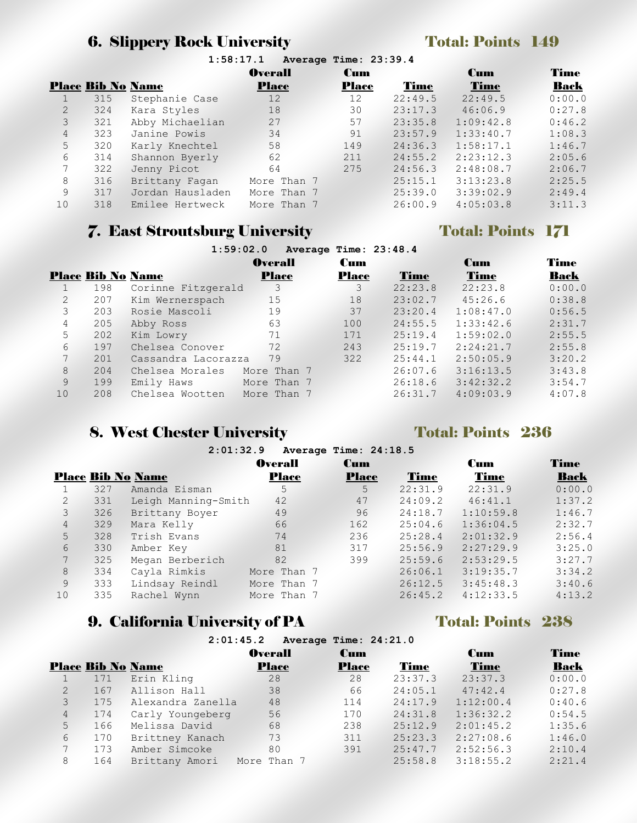# 6. Slippery Rock University Total: Points 149

|                |                          |                  | <b>Overall</b> | <b>Cum</b>   |         | <b>Cum</b>  | Time        |
|----------------|--------------------------|------------------|----------------|--------------|---------|-------------|-------------|
|                | <b>Place Bib No Name</b> |                  | <b>Place</b>   | <b>Place</b> | Time    | <b>Time</b> | <b>Back</b> |
|                | 315                      | Stephanie Case   | 12             | 12           | 22:49.5 | 22:49.5     | 0:00.0      |
| $\overline{2}$ | 324                      | Kara Styles      | 18             | 30           | 23:17.3 | 46:06.9     | 0:27.8      |
| 3              | 321                      | Abby Michaelian  | 27             | 57           | 23:35.8 | 1:09:42.8   | 0:46.2      |
| $\overline{4}$ | 323                      | Janine Powis     | 34             | 91           | 23:57.9 | 1:33:40.7   | 1:08.3      |
| 5              | 320                      | Karly Knechtel   | 58             | 149          | 24:36.3 | 1:58:17.1   | 1:46.7      |
| 6              | 314                      | Shannon Byerly   | 62             | 211          | 24:55.2 | 2:23:12.3   | 2:05.6      |
| 7              | 322                      | Jenny Picot      | 64             | 275          | 24:56.3 | 2:48:08.7   | 2:06.7      |
| 8              | 316                      | Brittany Fagan   | More Than 7    |              | 25:15.1 | 3:13:23.8   | 2:25.5      |
| 9              | 317                      | Jordan Hausladen | More Than 7    |              | 25:39.0 | 3:39:02.9   | 2:49.4      |
| 10             | 318                      | Emilee Hertweck  | More Than 7    |              | 26:00.9 | 4:05:03.8   | 3:11.3      |

# **7. East Stroutsburg University Total: Points 171**

|    |                          | 1:59:02.0           |                | Average Time: 23:48.4 |         |            |        |
|----|--------------------------|---------------------|----------------|-----------------------|---------|------------|--------|
|    |                          |                     | <b>Overall</b> | Cum                   |         | <b>Cum</b> | Time   |
|    | <b>Place Bib No Name</b> |                     | <b>Place</b>   | Place                 | Time    | Time       | Back   |
|    | 198                      | Corinne Fitzgerald  | 3              | 3                     | 22:23.8 | 22:23.8    | 0:00.0 |
| 2  | 207                      | Kim Wernerspach     | 15             | 18                    | 23:02.7 | 45:26.6    | 0:38.8 |
| 3  | 203                      | Rosie Mascoli       | 19             | 37                    | 23:20.4 | 1:08:47.0  | 0:56.5 |
| 4  | 205                      | Abby Ross           | 63             | 100                   | 24:55.5 | 1:33:42.6  | 2:31.7 |
| 5  | 202                      | Kim Lowry           | 71             | 171                   | 25:19.4 | 1:59:02.0  | 2:55.5 |
| 6  | 197                      | Chelsea Conover     | 72             | 243                   | 25:19.7 | 2:24:21.7  | 2:55.8 |
| 7  | 201                      | Cassandra Lacorazza | 79             | 322                   | 25:44.1 | 2:50:05.9  | 3:20.2 |
| 8  | 204                      | Chelsea Morales     | More Than 7    |                       | 26:07.6 | 3:16:13.5  | 3:43.8 |
| 9  | 199                      | Emily Haws          | More Than 7    |                       | 26:18.6 | 3:42:32.2  | 3:54.7 |
| 10 | 208                      | Chelsea Wootten     | More Than 7    |                       | 26:31.7 | 4:09:03.9  | 4:07.8 |

# 8. West Chester University Total: Points 236

|                |     | 2:01:32.9                |                | Average Time: 24:18.5 |         |            |        |
|----------------|-----|--------------------------|----------------|-----------------------|---------|------------|--------|
|                |     |                          | <b>Overall</b> | <b>Cum</b>            |         | <b>Cum</b> | Time   |
|                |     | <b>Place Bib No Name</b> | <b>Place</b>   | <b>Place</b>          | Time    | Time       | Back   |
|                | 327 | Amanda Eisman            | 5              | 5                     | 22:31.9 | 22:31.9    | 0:00.0 |
| 2              | 331 | Leigh Manning-Smith      | 42             | 47                    | 24:09.2 | 46:41.1    | 1:37.2 |
| 3              | 326 | Brittany Boyer           | 49             | 96                    | 24:18.7 | 1:10:59.8  | 1:46.7 |
| $\overline{4}$ | 329 | Mara Kelly               | 66             | 162                   | 25:04.6 | 1:36:04.5  | 2:32.7 |
| 5              | 328 | Trish Evans              | 74             | 236                   | 25:28.4 | 2:01:32.9  | 2:56.4 |
| 6              | 330 | Amber Key                | 81             | 317                   | 25:56.9 | 2:27:29.9  | 3:25.0 |
| 7              | 325 | Megan Berberich          | 82             | 399                   | 25:59.6 | 2:53:29.5  | 3:27.7 |
| 8              | 334 | Cayla Rimkis             | More Than 7    |                       | 26:06.1 | 3:19:35.7  | 3:34.2 |
| 9              | 333 | Lindsay Reindl           | More Than 7    |                       | 26:12.5 | 3:45:48.3  | 3:40.6 |
| 10             | 335 | Rachel Wynn              | More Than 7    |                       | 26:45.2 | 4:12:33.5  | 4:13.2 |

## 9. California University of PA Total: Points 238 **2:01:45.2 Average Time: 24:21.0**

|                |                          |                   | Z.VI.4J.Z AVELAYE ILME. Z4.ZI.V |              |         |           |        |
|----------------|--------------------------|-------------------|---------------------------------|--------------|---------|-----------|--------|
|                |                          |                   | <b>Overall</b>                  | <b>Cum</b>   |         | Cum       | Time   |
|                | <b>Place Bib No Name</b> |                   | <b>Place</b>                    | <b>Place</b> | Time    | Time      | Back   |
|                | 171                      | Erin Kling        | 28                              | 28           | 23:37.3 | 23:37.3   | 0:00.0 |
| 2              | 167                      | Allison Hall      | 38                              | 66           | 24:05.1 | 47:42.4   | 0:27.8 |
| 3              | 175                      | Alexandra Zanella | 48                              | 114          | 24:17.9 | 1:12:00.4 | 0:40.6 |
| $\overline{4}$ | 174                      | Carly Youngeberg  | 56                              | 170          | 24:31.8 | 1:36:32.2 | 0:54.5 |
| 5              | 166                      | Melissa David     | 68                              | 238          | 25:12.9 | 2:01:45.2 | 1:35.6 |
| 6              | 170                      | Brittney Kanach   | 73                              | 311          | 25:23.3 | 2:27:08.6 | 1:46.0 |
| 7              | 173                      | Amber Simcoke     | 80                              | 391          | 25:47.7 | 2:52:56.3 | 2:10.4 |
| 8              | 164                      | Brittany Amori    | More Than 7                     |              | 25:58.8 | 3:18:55.2 | 2:21.4 |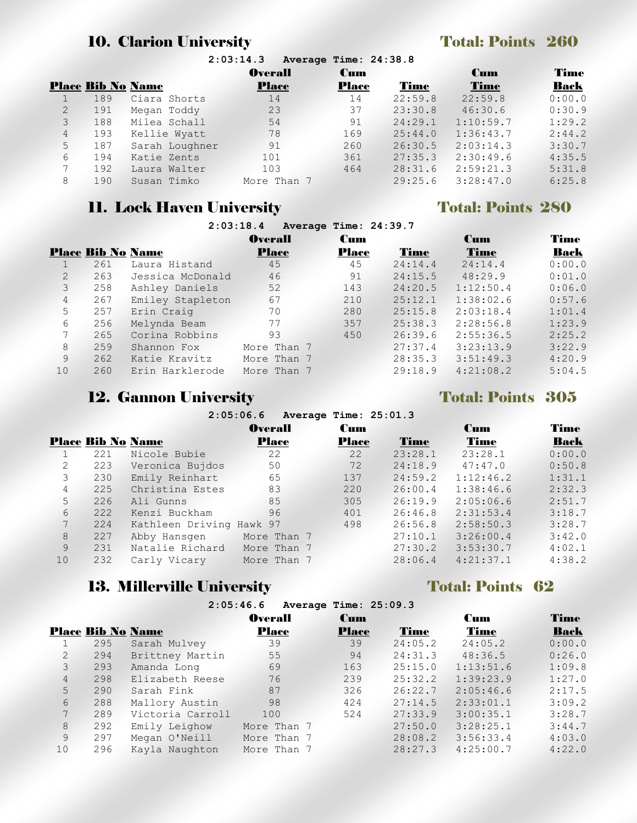# 10. Clarion University Total: Points 260

|                | 2:03:14.3<br>Average Time: 24:38.8 |                |                |              |             |            |        |  |  |
|----------------|------------------------------------|----------------|----------------|--------------|-------------|------------|--------|--|--|
|                |                                    |                | <b>Overall</b> | <b>Cum</b>   |             | <b>Cum</b> | Time   |  |  |
|                | <b>Place Bib No Name</b>           |                | <b>Place</b>   | <b>Place</b> | <b>Time</b> | Time       | Back   |  |  |
|                | 189                                | Ciara Shorts   | 14             | 14           | 22:59.8     | 22:59.8    | 0:00.0 |  |  |
| 2              | 191                                | Megan Toddy    | 23             | 37           | 23:30.8     | 46:30.6    | 0:30.9 |  |  |
| 3              | 188                                | Milea Schall   | 54             | 91           | 24:29.1     | 1:10:59.7  | 1:29.2 |  |  |
| $\overline{4}$ | 193                                | Kellie Wyatt   | 78             | 169          | 25:44.0     | 1:36:43.7  | 2:44.2 |  |  |
| 5              | 187                                | Sarah Loughner | 91             | 260          | 26:30.5     | 2:03:14.3  | 3:30.7 |  |  |
| 6              | 194                                | Katie Zents    | 101            | 361          | 27:35.3     | 2:30:49.6  | 4:35.5 |  |  |
| 7              | 192                                | Laura Walter   | 103            | 464          | 28:31.6     | 2:59:21.3  | 5:31.8 |  |  |
| 8              | 190                                | Susan Timko    | More Than 7    |              | 29:25.6     | 3:28:47.0  | 6:25.8 |  |  |
|                |                                    |                |                |              |             |            |        |  |  |

# 11. Lock Haven University Total: Points 280

|                |                          |                  | 2:03:18.4      | Average Time: 24:39.7 |             |             |        |
|----------------|--------------------------|------------------|----------------|-----------------------|-------------|-------------|--------|
|                |                          |                  | <b>Overall</b> | <b>Cum</b>            |             | <b>Cum</b>  | Time   |
|                | <b>Place Bib No Name</b> |                  | <b>Place</b>   | <b>Place</b>          | <b>Time</b> | <b>Time</b> | Back   |
|                | 261                      | Laura Histand    | 45             | 45                    | 24:14.4     | 24:14.4     | 0:00.0 |
| $\overline{2}$ | 263                      | Jessica McDonald | 46             | 91                    | 24:15.5     | 48:29.9     | 0:01.0 |
| 3              | 258                      | Ashley Daniels   | 52             | 143                   | 24:20.5     | 1:12:50.4   | 0:06.0 |
| $\overline{4}$ | 267                      | Emiley Stapleton | 67             | 210                   | 25:12.1     | 1:38:02.6   | 0:57.6 |
| 5              | 257                      | Erin Craig       | 70             | 280                   | 25:15.8     | 2:03:18.4   | 1:01.4 |
| 6              | 256                      | Melynda Beam     | 77             | 357                   | 25:38.3     | 2:28:56.8   | 1:23.9 |
| 7              | 265                      | Corina Robbins   | 93             | 450                   | 26:39.6     | 2:55:36.5   | 2:25.2 |
| 8              | 259                      | Shannon Fox      | More Than 7    |                       | 27:37.4     | 3:23:13.9   | 3:22.9 |
| 9              | 262                      | Katie Kravitz    | More Than 7    |                       | 28:35.3     | 3:51:49.3   | 4:20.9 |
| 10             | 260                      | Erin Harklerode  | More Than 7    |                       | 29:18.9     | 4:21:08.2   | 5:04.5 |

# 12. Gannon University Total: Points 305

|    | 2.09.00.0<br>Wherede Trime: 20:01.0 |                          |                |  |              |         |            |        |  |
|----|-------------------------------------|--------------------------|----------------|--|--------------|---------|------------|--------|--|
|    |                                     |                          | <b>Overall</b> |  | Cum          |         | <b>Cum</b> | Time   |  |
|    | <b>Place Bib No Name</b>            |                          | <b>Place</b>   |  | <b>Place</b> | Time    | Time       | Back   |  |
|    | 221                                 | Nicole Bubie             | 22             |  | 22           | 23:28.1 | 23:28.1    | 0:00.0 |  |
| 2  | 223                                 | Veronica Bujdos          | 50             |  | 72           | 24:18.9 | 47:47.0    | 0:50.8 |  |
| 3  | 230                                 | Emily Reinhart           | 65             |  | 137          | 24:59.2 | 1:12:46.2  | 1:31.1 |  |
| 4  | 225                                 | Christina Estes          | 83             |  | 220          | 26:00.4 | 1:38:46.6  | 2:32.3 |  |
| 5  | 226                                 | Ali Gunns                | 85             |  | 305          | 26:19.9 | 2:05:06.6  | 2:51.7 |  |
| 6  | 222                                 | Kenzi Buckham            | 96             |  | 401          | 26:46.8 | 2:31:53.4  | 3:18.7 |  |
|    | 224                                 | Kathleen Driving Hawk 97 |                |  | 498          | 26:56.8 | 2:58:50.3  | 3:28.7 |  |
| 8  | 227                                 | Abby Hansgen             | More Than 7    |  |              | 27:10.1 | 3:26:00.4  | 3:42.0 |  |
| 9  | 231                                 | Natalie Richard          | More Than 7    |  |              | 27:30.2 | 3:53:30.7  | 4:02.1 |  |
| 10 | 232                                 | Carly Vicary             | More Than 7    |  |              | 28:06.4 | 4:21:37.1  | 4:38.2 |  |
|    |                                     |                          |                |  |              |         |            |        |  |

**2:05:06.6 Average Time: 25:01.3**

# 13. Millerville University Total: Points 62

|                | 2:05:46.6<br>Average Time: 25:09.3 |                  |                |              |         |             |        |  |
|----------------|------------------------------------|------------------|----------------|--------------|---------|-------------|--------|--|
|                |                                    |                  | <b>Overall</b> | <b>Cum</b>   |         | <b>Cum</b>  | Time   |  |
|                | <b>Place Bib No Name</b>           |                  | Place          | <b>Place</b> | Time    | <b>Time</b> | Back   |  |
|                | 295                                | Sarah Mulvey     | 39             | 39           | 24:05.2 | 24:05.2     | 0:00.0 |  |
| $\overline{2}$ | 294                                | Brittney Martin  | 55             | 94           | 24:31.3 | 48:36.5     | 0:26.0 |  |
| 3              | 293                                | Amanda Long      | 69             | 163          | 25:15.0 | 1:13:51.6   | 1:09.8 |  |
| $\overline{4}$ | 298                                | Elizabeth Reese  | 76             | 239          | 25:32.2 | 1:39:23.9   | 1:27.0 |  |
| 5              | 290                                | Sarah Fink       | 87             | 326          | 26:22.7 | 2:05:46.6   | 2:17.5 |  |
| 6              | 288                                | Mallory Austin   | 98             | 424          | 27:14.5 | 2:33:01.1   | 3:09.2 |  |
| 7              | 289                                | Victoria Carroll | 100            | 524          | 27:33.9 | 3:00:35.1   | 3:28.7 |  |
| 8              | 292                                | Emily Leighow    | More Than 7    |              | 27:50.0 | 3:28:25.1   | 3:44.7 |  |
| 9              | 297                                | Megan O'Neill    | More Than 7    |              | 28:08.2 | 3:56:33.4   | 4:03.0 |  |
| 10             | 296                                | Kayla Naughton   | More Than 7    |              | 28:27.3 | 4:25:00.7   | 4:22.0 |  |